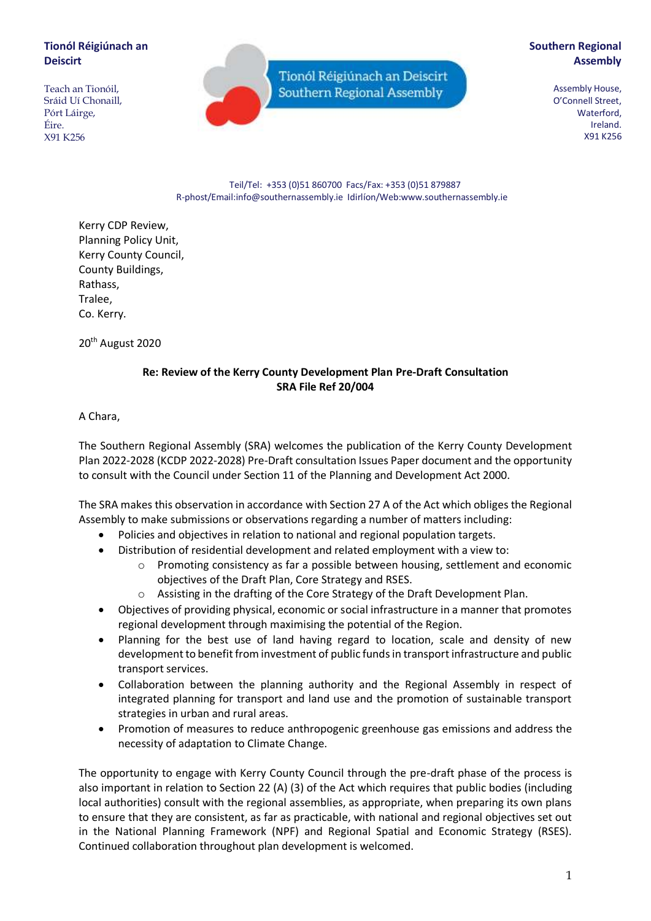# **Tionól Réigiúnach an Deiscirt**

Teach an Tionóil, Sráid Uí Chonaill, Pórt Láirge, Éire. X91 K256

Tionól Réigiúnach an Deiscirt Southern Regional Assembly

# **Southern Regional Assembly**

Assembly House, O'Connell Street, Waterford, Ireland. X91 K256

Teil/Tel: +353 (0)51 860700 Facs/Fax: +353 (0)51 879887 R-phost/Email:info@southernassembly.ie Idirlíon/Web:www.southernassembly.ie

Kerry CDP Review, Planning Policy Unit, Kerry County Council, County Buildings, Rathass, Tralee, Co. Kerry.

20<sup>th</sup> August 2020

## **Re: Review of the Kerry County Development Plan Pre-Draft Consultation SRA File Ref 20/004**

A Chara,

The Southern Regional Assembly (SRA) welcomes the publication of the Kerry County Development Plan 2022-2028 (KCDP 2022-2028) Pre-Draft consultation Issues Paper document and the opportunity to consult with the Council under Section 11 of the Planning and Development Act 2000.

The SRA makes this observation in accordance with Section 27 A of the Act which obliges the Regional Assembly to make submissions or observations regarding a number of matters including:

- Policies and objectives in relation to national and regional population targets.
- Distribution of residential development and related employment with a view to:
	- o Promoting consistency as far a possible between housing, settlement and economic objectives of the Draft Plan, Core Strategy and RSES.
	- o Assisting in the drafting of the Core Strategy of the Draft Development Plan.
- Objectives of providing physical, economic or social infrastructure in a manner that promotes regional development through maximising the potential of the Region.
- Planning for the best use of land having regard to location, scale and density of new development to benefit from investment of public funds in transport infrastructure and public transport services.
- Collaboration between the planning authority and the Regional Assembly in respect of integrated planning for transport and land use and the promotion of sustainable transport strategies in urban and rural areas.
- Promotion of measures to reduce anthropogenic greenhouse gas emissions and address the necessity of adaptation to Climate Change.

The opportunity to engage with Kerry County Council through the pre-draft phase of the process is also important in relation to Section 22 (A) (3) of the Act which requires that public bodies (including local authorities) consult with the regional assemblies, as appropriate, when preparing its own plans to ensure that they are consistent, as far as practicable, with national and regional objectives set out in the National Planning Framework (NPF) and Regional Spatial and Economic Strategy (RSES). Continued collaboration throughout plan development is welcomed.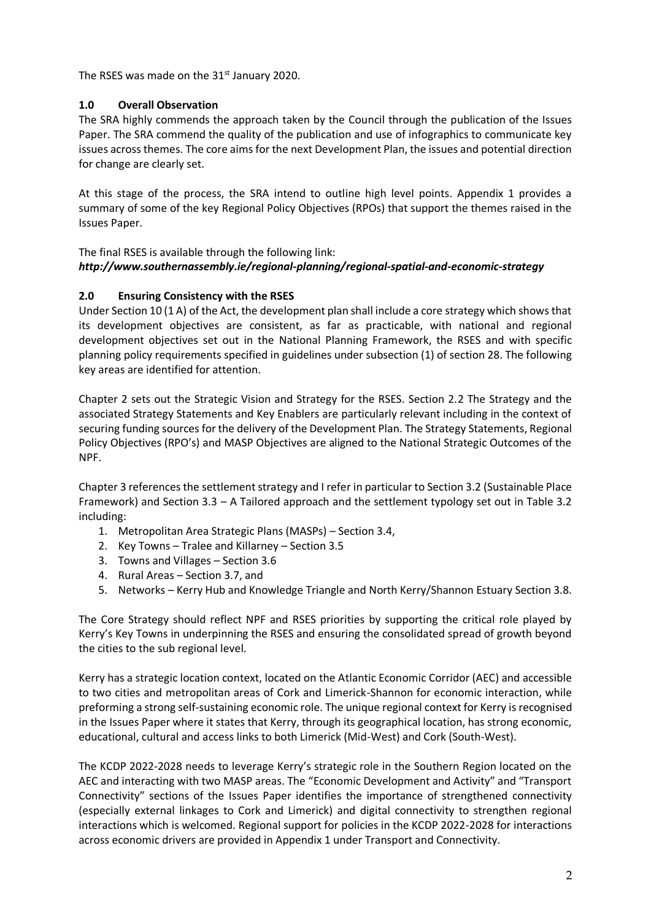The RSES was made on the  $31<sup>st</sup>$  January 2020.

# **1.0 Overall Observation**

The SRA highly commends the approach taken by the Council through the publication of the Issues Paper. The SRA commend the quality of the publication and use of infographics to communicate key issues across themes. The core aims for the next Development Plan, the issues and potential direction for change are clearly set.

At this stage of the process, the SRA intend to outline high level points. Appendix 1 provides a summary of some of the key Regional Policy Objectives (RPOs) that support the themes raised in the Issues Paper.

### The final RSES is available through the following link: *http://www.southernassembly.ie/regional-planning/regional-spatial-and-economic-strategy*

# **2.0 Ensuring Consistency with the RSES**

Under Section 10 (1 A) of the Act, the development plan shall include a core strategy which shows that its development objectives are consistent, as far as practicable, with national and regional development objectives set out in the National Planning Framework, the RSES and with specific planning policy requirements specified in guidelines under subsection (1) of section 28. The following key areas are identified for attention.

Chapter 2 sets out the Strategic Vision and Strategy for the RSES. Section 2.2 The Strategy and the associated Strategy Statements and Key Enablers are particularly relevant including in the context of securing funding sources for the delivery of the Development Plan. The Strategy Statements, Regional Policy Objectives (RPO's) and MASP Objectives are aligned to the National Strategic Outcomes of the NPF.

Chapter 3 references the settlement strategy and I refer in particular to Section 3.2 (Sustainable Place Framework) and Section 3.3 – A Tailored approach and the settlement typology set out in Table 3.2 including:

- 1. Metropolitan Area Strategic Plans (MASPs) Section 3.4,
- 2. Key Towns Tralee and Killarney Section 3.5
- 3. Towns and Villages Section 3.6
- 4. Rural Areas Section 3.7, and
- 5. Networks Kerry Hub and Knowledge Triangle and North Kerry/Shannon Estuary Section 3.8.

The Core Strategy should reflect NPF and RSES priorities by supporting the critical role played by Kerry's Key Towns in underpinning the RSES and ensuring the consolidated spread of growth beyond the cities to the sub regional level.

Kerry has a strategic location context, located on the Atlantic Economic Corridor (AEC) and accessible to two cities and metropolitan areas of Cork and Limerick-Shannon for economic interaction, while preforming a strong self-sustaining economic role. The unique regional context for Kerry is recognised in the Issues Paper where it states that Kerry, through its geographical location, has strong economic, educational, cultural and access links to both Limerick (Mid-West) and Cork (South-West).

The KCDP 2022-2028 needs to leverage Kerry's strategic role in the Southern Region located on the AEC and interacting with two MASP areas. The "Economic Development and Activity" and "Transport Connectivity" sections of the Issues Paper identifies the importance of strengthened connectivity (especially external linkages to Cork and Limerick) and digital connectivity to strengthen regional interactions which is welcomed. Regional support for policies in the KCDP 2022-2028 for interactions across economic drivers are provided in Appendix 1 under Transport and Connectivity.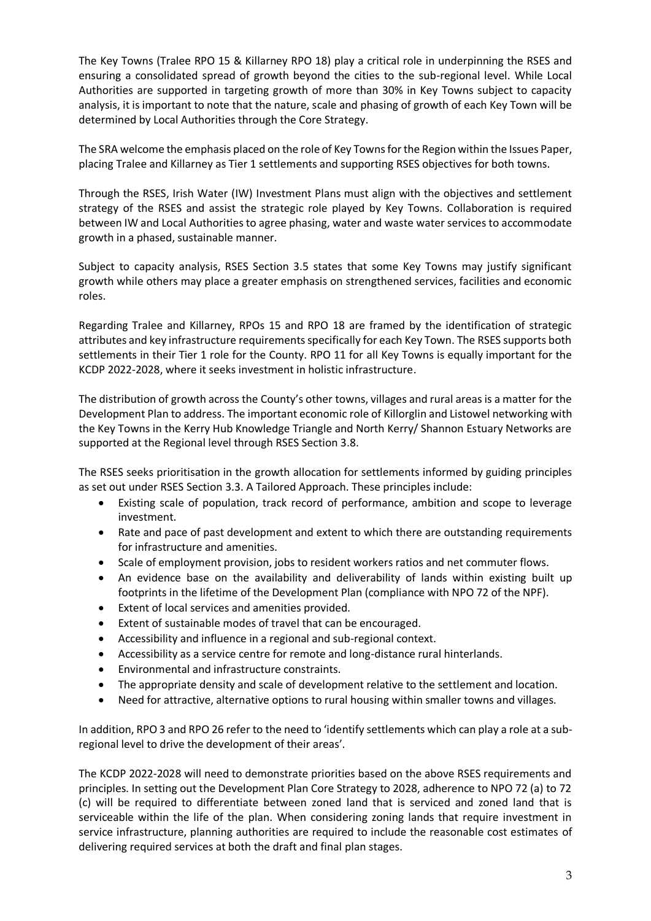The Key Towns (Tralee RPO 15 & Killarney RPO 18) play a critical role in underpinning the RSES and ensuring a consolidated spread of growth beyond the cities to the sub-regional level. While Local Authorities are supported in targeting growth of more than 30% in Key Towns subject to capacity analysis, it is important to note that the nature, scale and phasing of growth of each Key Town will be determined by Local Authorities through the Core Strategy.

The SRA welcome the emphasis placed on the role of Key Towns for the Region within the Issues Paper, placing Tralee and Killarney as Tier 1 settlements and supporting RSES objectives for both towns.

Through the RSES, Irish Water (IW) Investment Plans must align with the objectives and settlement strategy of the RSES and assist the strategic role played by Key Towns. Collaboration is required between IW and Local Authorities to agree phasing, water and waste water services to accommodate growth in a phased, sustainable manner.

Subject to capacity analysis, RSES Section 3.5 states that some Key Towns may justify significant growth while others may place a greater emphasis on strengthened services, facilities and economic roles.

Regarding Tralee and Killarney, RPOs 15 and RPO 18 are framed by the identification of strategic attributes and key infrastructure requirements specifically for each Key Town. The RSES supports both settlements in their Tier 1 role for the County. RPO 11 for all Key Towns is equally important for the KCDP 2022-2028, where it seeks investment in holistic infrastructure.

The distribution of growth across the County's other towns, villages and rural areas is a matter for the Development Plan to address. The important economic role of Killorglin and Listowel networking with the Key Towns in the Kerry Hub Knowledge Triangle and North Kerry/ Shannon Estuary Networks are supported at the Regional level through RSES Section 3.8.

The RSES seeks prioritisation in the growth allocation for settlements informed by guiding principles as set out under RSES Section 3.3. A Tailored Approach. These principles include:

- Existing scale of population, track record of performance, ambition and scope to leverage investment.
- Rate and pace of past development and extent to which there are outstanding requirements for infrastructure and amenities.
- Scale of employment provision, jobs to resident workers ratios and net commuter flows.
- An evidence base on the availability and deliverability of lands within existing built up footprints in the lifetime of the Development Plan (compliance with NPO 72 of the NPF).
- Extent of local services and amenities provided.
- Extent of sustainable modes of travel that can be encouraged.
- Accessibility and influence in a regional and sub-regional context.
- Accessibility as a service centre for remote and long-distance rural hinterlands.
- Environmental and infrastructure constraints.
- The appropriate density and scale of development relative to the settlement and location.
- Need for attractive, alternative options to rural housing within smaller towns and villages.

In addition, RPO 3 and RPO 26 refer to the need to 'identify settlements which can play a role at a subregional level to drive the development of their areas'.

The KCDP 2022-2028 will need to demonstrate priorities based on the above RSES requirements and principles. In setting out the Development Plan Core Strategy to 2028, adherence to NPO 72 (a) to 72 (c) will be required to differentiate between zoned land that is serviced and zoned land that is serviceable within the life of the plan. When considering zoning lands that require investment in service infrastructure, planning authorities are required to include the reasonable cost estimates of delivering required services at both the draft and final plan stages.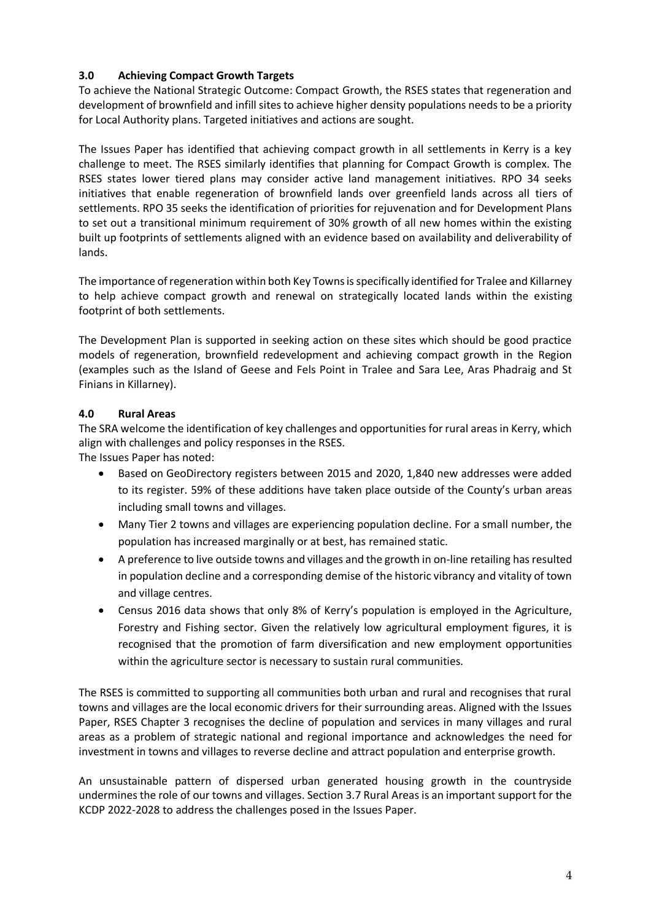# **3.0 Achieving Compact Growth Targets**

To achieve the National Strategic Outcome: Compact Growth, the RSES states that regeneration and development of brownfield and infill sites to achieve higher density populations needs to be a priority for Local Authority plans. Targeted initiatives and actions are sought.

The Issues Paper has identified that achieving compact growth in all settlements in Kerry is a key challenge to meet. The RSES similarly identifies that planning for Compact Growth is complex. The RSES states lower tiered plans may consider active land management initiatives. RPO 34 seeks initiatives that enable regeneration of brownfield lands over greenfield lands across all tiers of settlements. RPO 35 seeks the identification of priorities for rejuvenation and for Development Plans to set out a transitional minimum requirement of 30% growth of all new homes within the existing built up footprints of settlements aligned with an evidence based on availability and deliverability of lands.

The importance of regeneration within both Key Towns is specifically identified for Tralee and Killarney to help achieve compact growth and renewal on strategically located lands within the existing footprint of both settlements.

The Development Plan is supported in seeking action on these sites which should be good practice models of regeneration, brownfield redevelopment and achieving compact growth in the Region (examples such as the Island of Geese and Fels Point in Tralee and Sara Lee, Aras Phadraig and St Finians in Killarney).

# **4.0 Rural Areas**

The SRA welcome the identification of key challenges and opportunities for rural areas in Kerry, which align with challenges and policy responses in the RSES.

The Issues Paper has noted:

- Based on GeoDirectory registers between 2015 and 2020, 1,840 new addresses were added to its register. 59% of these additions have taken place outside of the County's urban areas including small towns and villages.
- Many Tier 2 towns and villages are experiencing population decline. For a small number, the population has increased marginally or at best, has remained static.
- A preference to live outside towns and villages and the growth in on-line retailing has resulted in population decline and a corresponding demise of the historic vibrancy and vitality of town and village centres.
- Census 2016 data shows that only 8% of Kerry's population is employed in the Agriculture, Forestry and Fishing sector. Given the relatively low agricultural employment figures, it is recognised that the promotion of farm diversification and new employment opportunities within the agriculture sector is necessary to sustain rural communities.

The RSES is committed to supporting all communities both urban and rural and recognises that rural towns and villages are the local economic drivers for their surrounding areas. Aligned with the Issues Paper, RSES Chapter 3 recognises the decline of population and services in many villages and rural areas as a problem of strategic national and regional importance and acknowledges the need for investment in towns and villages to reverse decline and attract population and enterprise growth.

An unsustainable pattern of dispersed urban generated housing growth in the countryside undermines the role of our towns and villages. Section 3.7 Rural Areas is an important support for the KCDP 2022-2028 to address the challenges posed in the Issues Paper.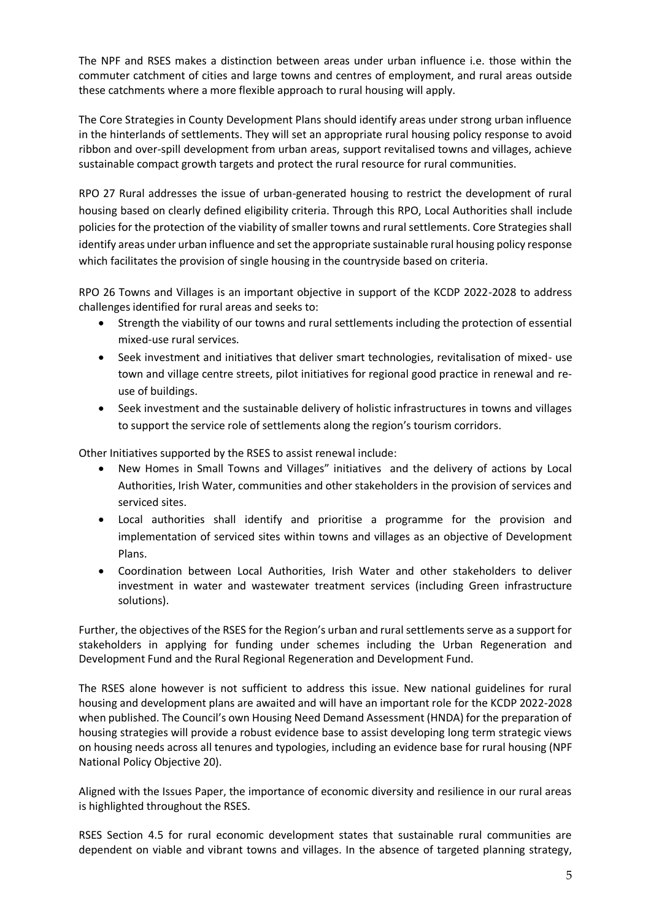The NPF and RSES makes a distinction between areas under urban influence i.e. those within the commuter catchment of cities and large towns and centres of employment, and rural areas outside these catchments where a more flexible approach to rural housing will apply.

The Core Strategies in County Development Plans should identify areas under strong urban influence in the hinterlands of settlements. They will set an appropriate rural housing policy response to avoid ribbon and over-spill development from urban areas, support revitalised towns and villages, achieve sustainable compact growth targets and protect the rural resource for rural communities.

RPO 27 Rural addresses the issue of urban-generated housing to restrict the development of rural housing based on clearly defined eligibility criteria. Through this RPO, Local Authorities shall include policies for the protection of the viability of smaller towns and rural settlements. Core Strategies shall identify areas under urban influence and set the appropriate sustainable rural housing policy response which facilitates the provision of single housing in the countryside based on criteria.

RPO 26 Towns and Villages is an important objective in support of the KCDP 2022-2028 to address challenges identified for rural areas and seeks to:

- Strength the viability of our towns and rural settlements including the protection of essential mixed-use rural services.
- Seek investment and initiatives that deliver smart technologies, revitalisation of mixed- use town and village centre streets, pilot initiatives for regional good practice in renewal and reuse of buildings.
- Seek investment and the sustainable delivery of holistic infrastructures in towns and villages to support the service role of settlements along the region's tourism corridors.

Other Initiatives supported by the RSES to assist renewal include:

- New Homes in Small Towns and Villages" initiatives and the delivery of actions by Local Authorities, Irish Water, communities and other stakeholders in the provision of services and serviced sites.
- Local authorities shall identify and prioritise a programme for the provision and implementation of serviced sites within towns and villages as an objective of Development Plans.
- Coordination between Local Authorities, Irish Water and other stakeholders to deliver investment in water and wastewater treatment services (including Green infrastructure solutions).

Further, the objectives of the RSES for the Region's urban and rural settlements serve as a support for stakeholders in applying for funding under schemes including the Urban Regeneration and Development Fund and the Rural Regional Regeneration and Development Fund.

The RSES alone however is not sufficient to address this issue. New national guidelines for rural housing and development plans are awaited and will have an important role for the KCDP 2022-2028 when published. The Council's own Housing Need Demand Assessment (HNDA) for the preparation of housing strategies will provide a robust evidence base to assist developing long term strategic views on housing needs across all tenures and typologies, including an evidence base for rural housing (NPF National Policy Objective 20).

Aligned with the Issues Paper, the importance of economic diversity and resilience in our rural areas is highlighted throughout the RSES.

RSES Section 4.5 for rural economic development states that sustainable rural communities are dependent on viable and vibrant towns and villages. In the absence of targeted planning strategy,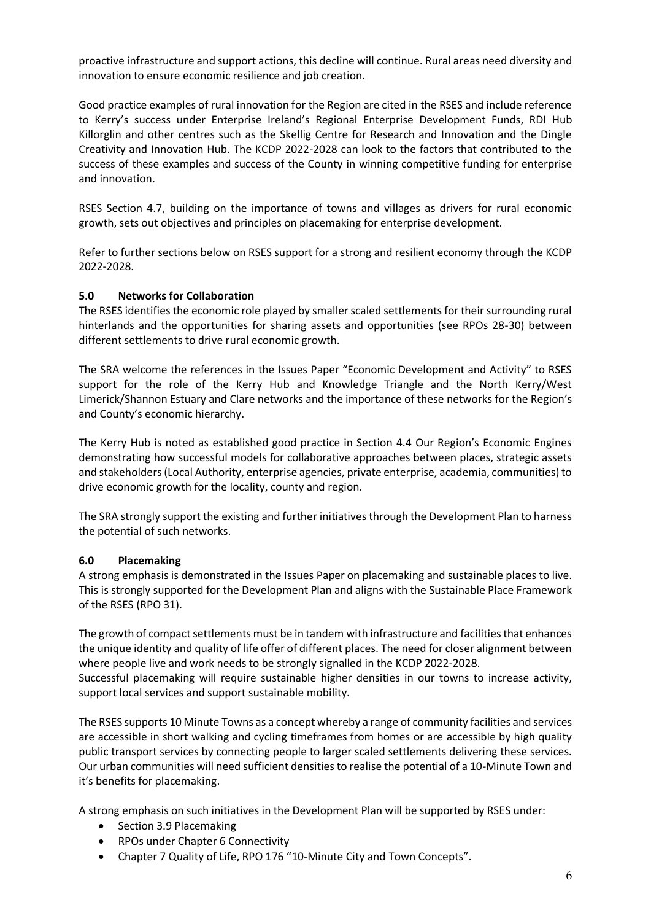proactive infrastructure and support actions, this decline will continue. Rural areas need diversity and innovation to ensure economic resilience and job creation.

Good practice examples of rural innovation for the Region are cited in the RSES and include reference to Kerry's success under Enterprise Ireland's Regional Enterprise Development Funds, RDI Hub Killorglin and other centres such as the Skellig Centre for Research and Innovation and the Dingle Creativity and Innovation Hub. The KCDP 2022-2028 can look to the factors that contributed to the success of these examples and success of the County in winning competitive funding for enterprise and innovation.

RSES Section 4.7, building on the importance of towns and villages as drivers for rural economic growth, sets out objectives and principles on placemaking for enterprise development.

Refer to further sections below on RSES support for a strong and resilient economy through the KCDP 2022-2028.

### **5.0 Networks for Collaboration**

The RSES identifies the economic role played by smaller scaled settlements for their surrounding rural hinterlands and the opportunities for sharing assets and opportunities (see RPOs 28-30) between different settlements to drive rural economic growth.

The SRA welcome the references in the Issues Paper "Economic Development and Activity" to RSES support for the role of the Kerry Hub and Knowledge Triangle and the North Kerry/West Limerick/Shannon Estuary and Clare networks and the importance of these networks for the Region's and County's economic hierarchy.

The Kerry Hub is noted as established good practice in Section 4.4 Our Region's Economic Engines demonstrating how successful models for collaborative approaches between places, strategic assets and stakeholders (Local Authority, enterprise agencies, private enterprise, academia, communities) to drive economic growth for the locality, county and region.

The SRA strongly support the existing and further initiatives through the Development Plan to harness the potential of such networks.

#### **6.0 Placemaking**

A strong emphasis is demonstrated in the Issues Paper on placemaking and sustainable places to live. This is strongly supported for the Development Plan and aligns with the Sustainable Place Framework of the RSES (RPO 31).

The growth of compact settlements must be in tandem with infrastructure and facilities that enhances the unique identity and quality of life offer of different places. The need for closer alignment between where people live and work needs to be strongly signalled in the KCDP 2022-2028.

Successful placemaking will require sustainable higher densities in our towns to increase activity, support local services and support sustainable mobility.

The RSES supports 10 Minute Towns as a concept whereby a range of community facilities and services are accessible in short walking and cycling timeframes from homes or are accessible by high quality public transport services by connecting people to larger scaled settlements delivering these services. Our urban communities will need sufficient densities to realise the potential of a 10-Minute Town and it's benefits for placemaking.

A strong emphasis on such initiatives in the Development Plan will be supported by RSES under:

- Section 3.9 Placemaking
- RPOs under Chapter 6 Connectivity
- Chapter 7 Quality of Life, RPO 176 "10-Minute City and Town Concepts".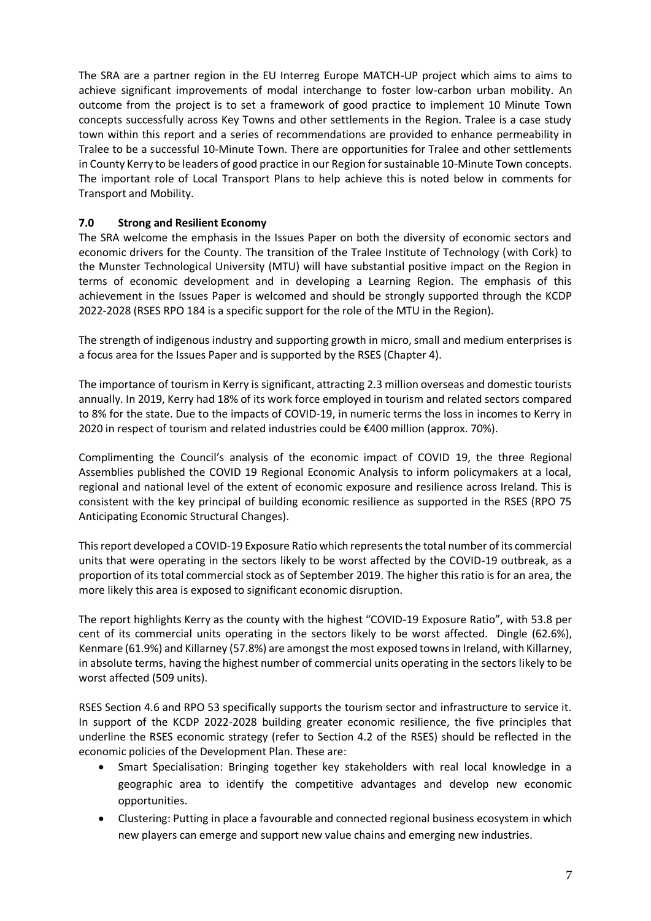The SRA are a partner region in the EU Interreg Europe MATCH-UP project which aims to aims to achieve significant improvements of modal interchange to foster low-carbon urban mobility. An outcome from the project is to set a framework of good practice to implement 10 Minute Town concepts successfully across Key Towns and other settlements in the Region. Tralee is a case study town within this report and a series of recommendations are provided to enhance permeability in Tralee to be a successful 10-Minute Town. There are opportunities for Tralee and other settlements in County Kerry to be leaders of good practice in our Region for sustainable 10-Minute Town concepts. The important role of Local Transport Plans to help achieve this is noted below in comments for Transport and Mobility.

# **7.0 Strong and Resilient Economy**

The SRA welcome the emphasis in the Issues Paper on both the diversity of economic sectors and economic drivers for the County. The transition of the Tralee Institute of Technology (with Cork) to the Munster Technological University (MTU) will have substantial positive impact on the Region in terms of economic development and in developing a Learning Region. The emphasis of this achievement in the Issues Paper is welcomed and should be strongly supported through the KCDP 2022-2028 (RSES RPO 184 is a specific support for the role of the MTU in the Region).

The strength of indigenous industry and supporting growth in micro, small and medium enterprises is a focus area for the Issues Paper and is supported by the RSES (Chapter 4).

The importance of tourism in Kerry is significant, attracting 2.3 million overseas and domestic tourists annually. In 2019, Kerry had 18% of its work force employed in tourism and related sectors compared to 8% for the state. Due to the impacts of COVID-19, in numeric terms the loss in incomes to Kerry in 2020 in respect of tourism and related industries could be €400 million (approx. 70%).

Complimenting the Council's analysis of the economic impact of COVID 19, the three Regional Assemblies published the COVID 19 Regional Economic Analysis to inform policymakers at a local, regional and national level of the extent of economic exposure and resilience across Ireland. This is consistent with the key principal of building economic resilience as supported in the RSES (RPO 75 Anticipating Economic Structural Changes).

This report developed a COVID-19 Exposure Ratio which represents the total number of its commercial units that were operating in the sectors likely to be worst affected by the COVID-19 outbreak, as a proportion of its total commercial stock as of September 2019. The higher this ratio is for an area, the more likely this area is exposed to significant economic disruption.

The report highlights Kerry as the county with the highest "COVID-19 Exposure Ratio", with 53.8 per cent of its commercial units operating in the sectors likely to be worst affected. Dingle (62.6%), Kenmare (61.9%) and Killarney (57.8%) are amongst the most exposed towns in Ireland, with Killarney, in absolute terms, having the highest number of commercial units operating in the sectors likely to be worst affected (509 units).

RSES Section 4.6 and RPO 53 specifically supports the tourism sector and infrastructure to service it. In support of the KCDP 2022-2028 building greater economic resilience, the five principles that underline the RSES economic strategy (refer to Section 4.2 of the RSES) should be reflected in the economic policies of the Development Plan. These are:

- Smart Specialisation: Bringing together key stakeholders with real local knowledge in a geographic area to identify the competitive advantages and develop new economic opportunities.
- Clustering: Putting in place a favourable and connected regional business ecosystem in which new players can emerge and support new value chains and emerging new industries.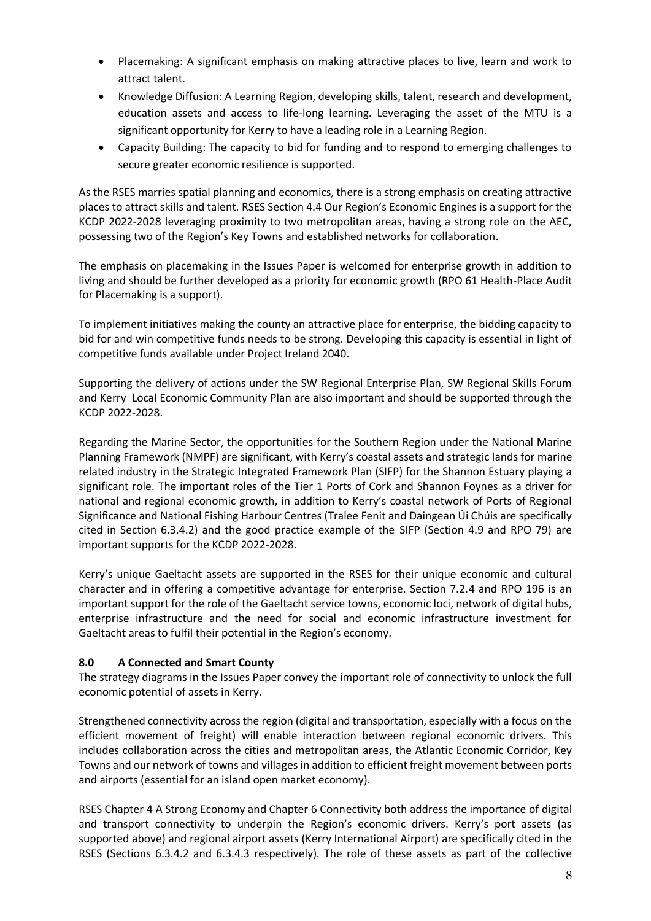- Placemaking: A significant emphasis on making attractive places to live, learn and work to attract talent.
- Knowledge Diffusion: A Learning Region, developing skills, talent, research and development, education assets and access to life-long learning. Leveraging the asset of the MTU is a significant opportunity for Kerry to have a leading role in a Learning Region.
- Capacity Building: The capacity to bid for funding and to respond to emerging challenges to secure greater economic resilience is supported.

As the RSES marries spatial planning and economics, there is a strong emphasis on creating attractive places to attract skills and talent. RSES Section 4.4 Our Region's Economic Engines is a support for the KCDP 2022-2028 leveraging proximity to two metropolitan areas, having a strong role on the AEC, possessing two of the Region's Key Towns and established networks for collaboration.

The emphasis on placemaking in the Issues Paper is welcomed for enterprise growth in addition to living and should be further developed as a priority for economic growth (RPO 61 Health-Place Audit for Placemaking is a support).

To implement initiatives making the county an attractive place for enterprise, the bidding capacity to bid for and win competitive funds needs to be strong. Developing this capacity is essential in light of competitive funds available under Project Ireland 2040.

Supporting the delivery of actions under the SW Regional Enterprise Plan, SW Regional Skills Forum and Kerry Local Economic Community Plan are also important and should be supported through the KCDP 2022-2028.

Regarding the Marine Sector, the opportunities for the Southern Region under the National Marine Planning Framework (NMPF) are significant, with Kerry's coastal assets and strategic lands for marine related industry in the Strategic Integrated Framework Plan (SIFP) for the Shannon Estuary playing a significant role. The important roles of the Tier 1 Ports of Cork and Shannon Foynes as a driver for national and regional economic growth, in addition to Kerry's coastal network of Ports of Regional Significance and National Fishing Harbour Centres (Tralee Fenit and Daingean Úi Chúis are specifically cited in Section 6.3.4.2) and the good practice example of the SIFP (Section 4.9 and RPO 79) are important supports for the KCDP 2022-2028.

Kerry's unique Gaeltacht assets are supported in the RSES for their unique economic and cultural character and in offering a competitive advantage for enterprise. Section 7.2.4 and RPO 196 is an important support for the role of the Gaeltacht service towns, economic loci, network of digital hubs, enterprise infrastructure and the need for social and economic infrastructure investment for Gaeltacht areas to fulfil their potential in the Region's economy.

## **8.0 A Connected and Smart County**

The strategy diagrams in the Issues Paper convey the important role of connectivity to unlock the full economic potential of assets in Kerry.

Strengthened connectivity across the region (digital and transportation, especially with a focus on the efficient movement of freight) will enable interaction between regional economic drivers. This includes collaboration across the cities and metropolitan areas, the Atlantic Economic Corridor, Key Towns and our network of towns and villages in addition to efficient freight movement between ports and airports (essential for an island open market economy).

RSES Chapter 4 A Strong Economy and Chapter 6 Connectivity both address the importance of digital and transport connectivity to underpin the Region's economic drivers. Kerry's port assets (as supported above) and regional airport assets (Kerry International Airport) are specifically cited in the RSES (Sections 6.3.4.2 and 6.3.4.3 respectively). The role of these assets as part of the collective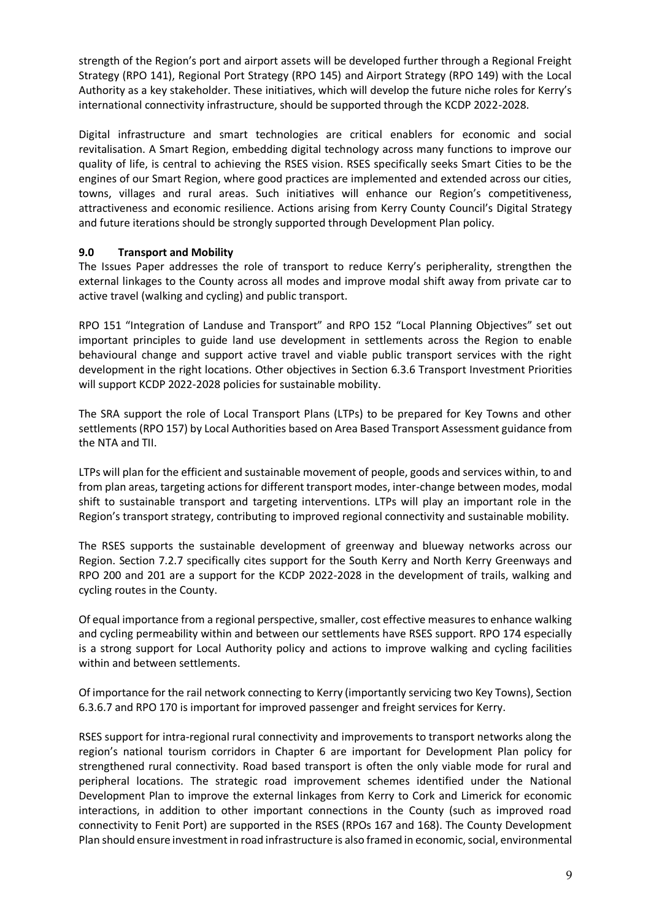strength of the Region's port and airport assets will be developed further through a Regional Freight Strategy (RPO 141), Regional Port Strategy (RPO 145) and Airport Strategy (RPO 149) with the Local Authority as a key stakeholder. These initiatives, which will develop the future niche roles for Kerry's international connectivity infrastructure, should be supported through the KCDP 2022-2028.

Digital infrastructure and smart technologies are critical enablers for economic and social revitalisation. A Smart Region, embedding digital technology across many functions to improve our quality of life, is central to achieving the RSES vision. RSES specifically seeks Smart Cities to be the engines of our Smart Region, where good practices are implemented and extended across our cities, towns, villages and rural areas. Such initiatives will enhance our Region's competitiveness, attractiveness and economic resilience. Actions arising from Kerry County Council's Digital Strategy and future iterations should be strongly supported through Development Plan policy.

## **9.0 Transport and Mobility**

The Issues Paper addresses the role of transport to reduce Kerry's peripherality, strengthen the external linkages to the County across all modes and improve modal shift away from private car to active travel (walking and cycling) and public transport.

RPO 151 "Integration of Landuse and Transport" and RPO 152 "Local Planning Objectives" set out important principles to guide land use development in settlements across the Region to enable behavioural change and support active travel and viable public transport services with the right development in the right locations. Other objectives in Section 6.3.6 Transport Investment Priorities will support KCDP 2022-2028 policies for sustainable mobility.

The SRA support the role of Local Transport Plans (LTPs) to be prepared for Key Towns and other settlements (RPO 157) by Local Authorities based on Area Based Transport Assessment guidance from the NTA and TII.

LTPs will plan for the efficient and sustainable movement of people, goods and services within, to and from plan areas, targeting actions for different transport modes, inter-change between modes, modal shift to sustainable transport and targeting interventions. LTPs will play an important role in the Region's transport strategy, contributing to improved regional connectivity and sustainable mobility.

The RSES supports the sustainable development of greenway and blueway networks across our Region. Section 7.2.7 specifically cites support for the South Kerry and North Kerry Greenways and RPO 200 and 201 are a support for the KCDP 2022-2028 in the development of trails, walking and cycling routes in the County.

Of equal importance from a regional perspective, smaller, cost effective measures to enhance walking and cycling permeability within and between our settlements have RSES support. RPO 174 especially is a strong support for Local Authority policy and actions to improve walking and cycling facilities within and between settlements.

Of importance for the rail network connecting to Kerry (importantly servicing two Key Towns), Section 6.3.6.7 and RPO 170 is important for improved passenger and freight services for Kerry.

RSES support for intra-regional rural connectivity and improvements to transport networks along the region's national tourism corridors in Chapter 6 are important for Development Plan policy for strengthened rural connectivity. Road based transport is often the only viable mode for rural and peripheral locations. The strategic road improvement schemes identified under the National Development Plan to improve the external linkages from Kerry to Cork and Limerick for economic interactions, in addition to other important connections in the County (such as improved road connectivity to Fenit Port) are supported in the RSES (RPOs 167 and 168). The County Development Plan should ensure investment in road infrastructure is also framed in economic, social, environmental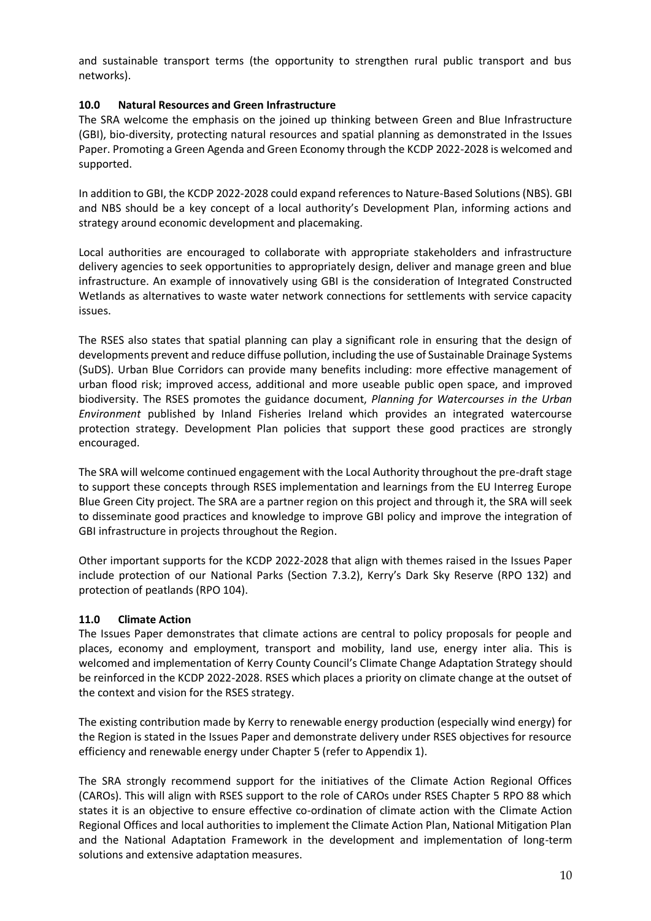and sustainable transport terms (the opportunity to strengthen rural public transport and bus networks).

### **10.0 Natural Resources and Green Infrastructure**

The SRA welcome the emphasis on the joined up thinking between Green and Blue Infrastructure (GBI), bio-diversity, protecting natural resources and spatial planning as demonstrated in the Issues Paper. Promoting a Green Agenda and Green Economy through the KCDP 2022-2028 is welcomed and supported.

In addition to GBI, the KCDP 2022-2028 could expand references to Nature-Based Solutions (NBS). GBI and NBS should be a key concept of a local authority's Development Plan, informing actions and strategy around economic development and placemaking.

Local authorities are encouraged to collaborate with appropriate stakeholders and infrastructure delivery agencies to seek opportunities to appropriately design, deliver and manage green and blue infrastructure. An example of innovatively using GBI is the consideration of Integrated Constructed Wetlands as alternatives to waste water network connections for settlements with service capacity issues.

The RSES also states that spatial planning can play a significant role in ensuring that the design of developments prevent and reduce diffuse pollution, including the use of Sustainable Drainage Systems (SuDS). Urban Blue Corridors can provide many benefits including: more effective management of urban flood risk; improved access, additional and more useable public open space, and improved biodiversity. The RSES promotes the guidance document, *Planning for Watercourses in the Urban Environment* published by Inland Fisheries Ireland which provides an integrated watercourse protection strategy. Development Plan policies that support these good practices are strongly encouraged.

The SRA will welcome continued engagement with the Local Authority throughout the pre-draft stage to support these concepts through RSES implementation and learnings from the EU Interreg Europe Blue Green City project. The SRA are a partner region on this project and through it, the SRA will seek to disseminate good practices and knowledge to improve GBI policy and improve the integration of GBI infrastructure in projects throughout the Region.

Other important supports for the KCDP 2022-2028 that align with themes raised in the Issues Paper include protection of our National Parks (Section 7.3.2), Kerry's Dark Sky Reserve (RPO 132) and protection of peatlands (RPO 104).

## **11.0 Climate Action**

The Issues Paper demonstrates that climate actions are central to policy proposals for people and places, economy and employment, transport and mobility, land use, energy inter alia. This is welcomed and implementation of Kerry County Council's Climate Change Adaptation Strategy should be reinforced in the KCDP 2022-2028. RSES which places a priority on climate change at the outset of the context and vision for the RSES strategy.

The existing contribution made by Kerry to renewable energy production (especially wind energy) for the Region is stated in the Issues Paper and demonstrate delivery under RSES objectives for resource efficiency and renewable energy under Chapter 5 (refer to Appendix 1).

The SRA strongly recommend support for the initiatives of the Climate Action Regional Offices (CAROs). This will align with RSES support to the role of CAROs under RSES Chapter 5 RPO 88 which states it is an objective to ensure effective co-ordination of climate action with the Climate Action Regional Offices and local authorities to implement the Climate Action Plan, National Mitigation Plan and the National Adaptation Framework in the development and implementation of long-term solutions and extensive adaptation measures.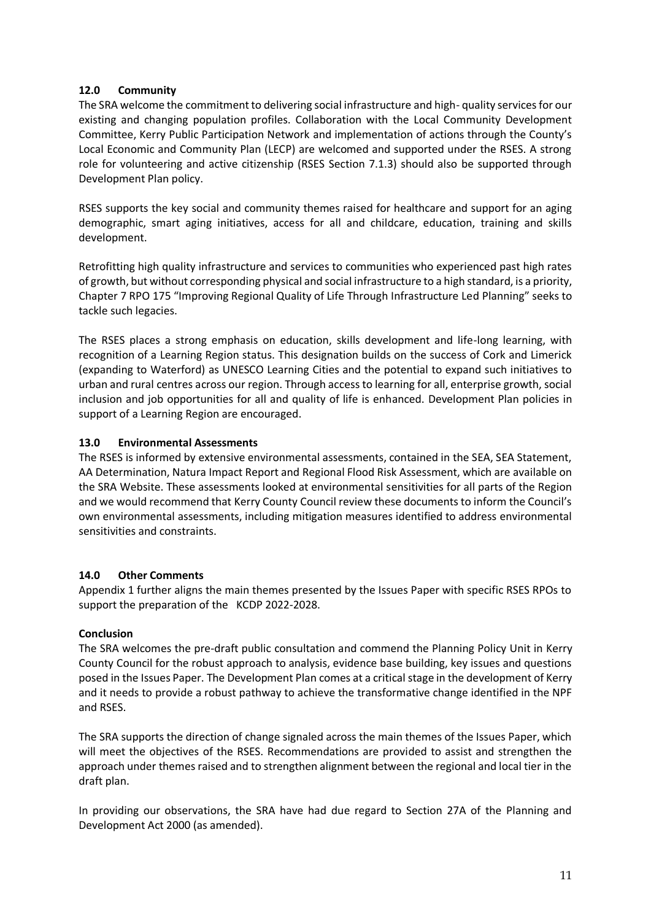### **12.0 Community**

The SRA welcome the commitment to delivering social infrastructure and high- quality services for our existing and changing population profiles. Collaboration with the Local Community Development Committee, Kerry Public Participation Network and implementation of actions through the County's Local Economic and Community Plan (LECP) are welcomed and supported under the RSES. A strong role for volunteering and active citizenship (RSES Section 7.1.3) should also be supported through Development Plan policy.

RSES supports the key social and community themes raised for healthcare and support for an aging demographic, smart aging initiatives, access for all and childcare, education, training and skills development.

Retrofitting high quality infrastructure and services to communities who experienced past high rates of growth, but without corresponding physical and social infrastructure to a high standard, is a priority, Chapter 7 RPO 175 "Improving Regional Quality of Life Through Infrastructure Led Planning" seeks to tackle such legacies.

The RSES places a strong emphasis on education, skills development and life-long learning, with recognition of a Learning Region status. This designation builds on the success of Cork and Limerick (expanding to Waterford) as UNESCO Learning Cities and the potential to expand such initiatives to urban and rural centres across our region. Through access to learning for all, enterprise growth, social inclusion and job opportunities for all and quality of life is enhanced. Development Plan policies in support of a Learning Region are encouraged.

### **13.0 Environmental Assessments**

The RSES is informed by extensive environmental assessments, contained in the SEA, SEA Statement, AA Determination, Natura Impact Report and Regional Flood Risk Assessment, which are available on the SRA Website. These assessments looked at environmental sensitivities for all parts of the Region and we would recommend that Kerry County Council review these documents to inform the Council's own environmental assessments, including mitigation measures identified to address environmental sensitivities and constraints.

#### **14.0 Other Comments**

Appendix 1 further aligns the main themes presented by the Issues Paper with specific RSES RPOs to support the preparation of the KCDP 2022-2028.

#### **Conclusion**

The SRA welcomes the pre-draft public consultation and commend the Planning Policy Unit in Kerry County Council for the robust approach to analysis, evidence base building, key issues and questions posed in the Issues Paper. The Development Plan comes at a critical stage in the development of Kerry and it needs to provide a robust pathway to achieve the transformative change identified in the NPF and RSES.

The SRA supports the direction of change signaled across the main themes of the Issues Paper, which will meet the objectives of the RSES. Recommendations are provided to assist and strengthen the approach under themes raised and to strengthen alignment between the regional and local tier in the draft plan.

In providing our observations, the SRA have had due regard to Section 27A of the Planning and Development Act 2000 (as amended).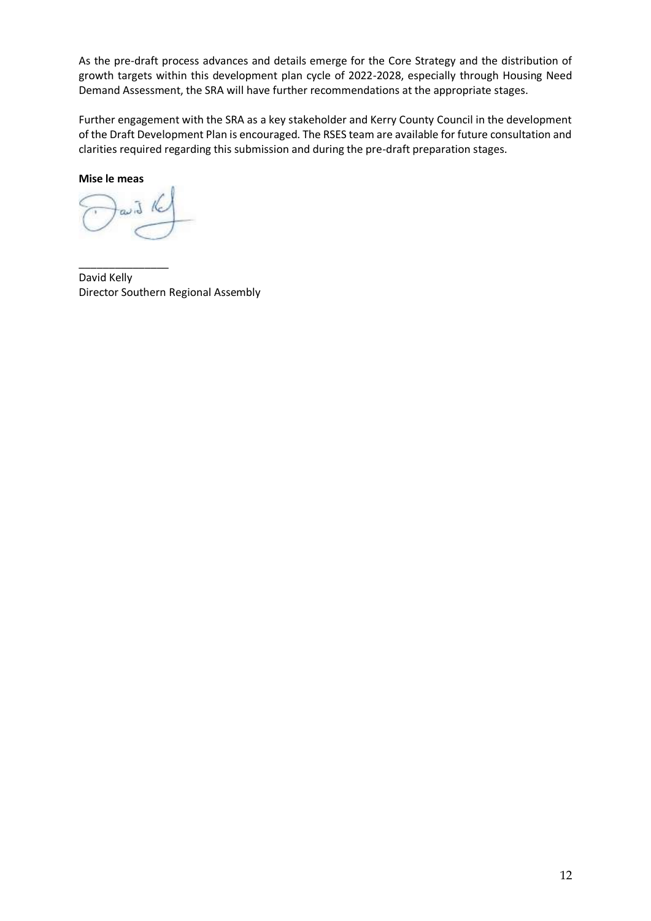As the pre-draft process advances and details emerge for the Core Strategy and the distribution of growth targets within this development plan cycle of 2022-2028, especially through Housing Need Demand Assessment, the SRA will have further recommendations at the appropriate stages.

Further engagement with the SRA as a key stakeholder and Kerry County Council in the development of the Draft Development Plan is encouraged. The RSES team are available for future consultation and clarities required regarding this submission and during the pre-draft preparation stages.

**Mise le meas**

\_\_\_\_\_\_\_\_\_\_\_\_\_\_\_ David Kelly Director Southern Regional Assembly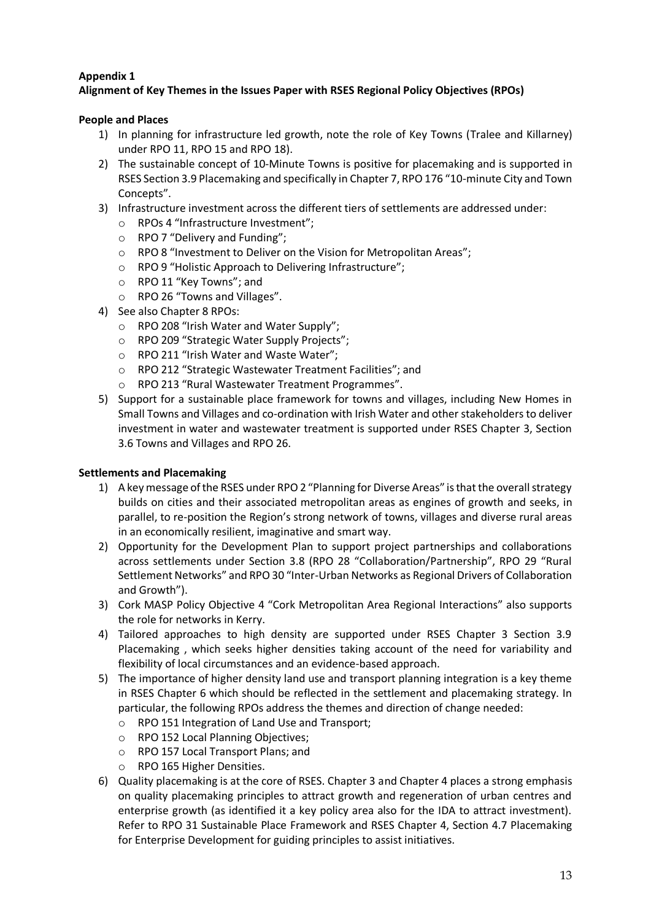# **Appendix 1**

# **Alignment of Key Themes in the Issues Paper with RSES Regional Policy Objectives (RPOs)**

### **People and Places**

- 1) In planning for infrastructure led growth, note the role of Key Towns (Tralee and Killarney) under RPO 11, RPO 15 and RPO 18).
- 2) The sustainable concept of 10-Minute Towns is positive for placemaking and is supported in RSES Section 3.9 Placemaking and specifically in Chapter 7, RPO 176 "10-minute City and Town Concepts".
- 3) Infrastructure investment across the different tiers of settlements are addressed under:
	- o RPOs 4 "Infrastructure Investment";
	- o RPO 7 "Delivery and Funding";
	- o RPO 8 "Investment to Deliver on the Vision for Metropolitan Areas";
	- o RPO 9 "Holistic Approach to Delivering Infrastructure";
	- o RPO 11 "Key Towns"; and
	- o RPO 26 "Towns and Villages".
- 4) See also Chapter 8 RPOs:
	- o RPO 208 "Irish Water and Water Supply";
	- o RPO 209 "Strategic Water Supply Projects";
	- o RPO 211 "Irish Water and Waste Water";
	- o RPO 212 "Strategic Wastewater Treatment Facilities"; and
	- o RPO 213 "Rural Wastewater Treatment Programmes".
- 5) Support for a sustainable place framework for towns and villages, including New Homes in Small Towns and Villages and co-ordination with Irish Water and other stakeholders to deliver investment in water and wastewater treatment is supported under RSES Chapter 3, Section 3.6 Towns and Villages and RPO 26.

#### **Settlements and Placemaking**

- 1) A key message of the RSES under RPO 2 "Planning for Diverse Areas" is that the overall strategy builds on cities and their associated metropolitan areas as engines of growth and seeks, in parallel, to re-position the Region's strong network of towns, villages and diverse rural areas in an economically resilient, imaginative and smart way.
- 2) Opportunity for the Development Plan to support project partnerships and collaborations across settlements under Section 3.8 (RPO 28 "Collaboration/Partnership", RPO 29 "Rural Settlement Networks" and RPO 30 "Inter-Urban Networks as Regional Drivers of Collaboration and Growth").
- 3) Cork MASP Policy Objective 4 "Cork Metropolitan Area Regional Interactions" also supports the role for networks in Kerry.
- 4) Tailored approaches to high density are supported under RSES Chapter 3 Section 3.9 Placemaking , which seeks higher densities taking account of the need for variability and flexibility of local circumstances and an evidence-based approach.
- 5) The importance of higher density land use and transport planning integration is a key theme in RSES Chapter 6 which should be reflected in the settlement and placemaking strategy. In particular, the following RPOs address the themes and direction of change needed:
	- o RPO 151 Integration of Land Use and Transport;
	- o RPO 152 Local Planning Objectives;
	- o RPO 157 Local Transport Plans; and
	- o RPO 165 Higher Densities.
- 6) Quality placemaking is at the core of RSES. Chapter 3 and Chapter 4 places a strong emphasis on quality placemaking principles to attract growth and regeneration of urban centres and enterprise growth (as identified it a key policy area also for the IDA to attract investment). Refer to RPO 31 Sustainable Place Framework and RSES Chapter 4, Section 4.7 Placemaking for Enterprise Development for guiding principles to assist initiatives.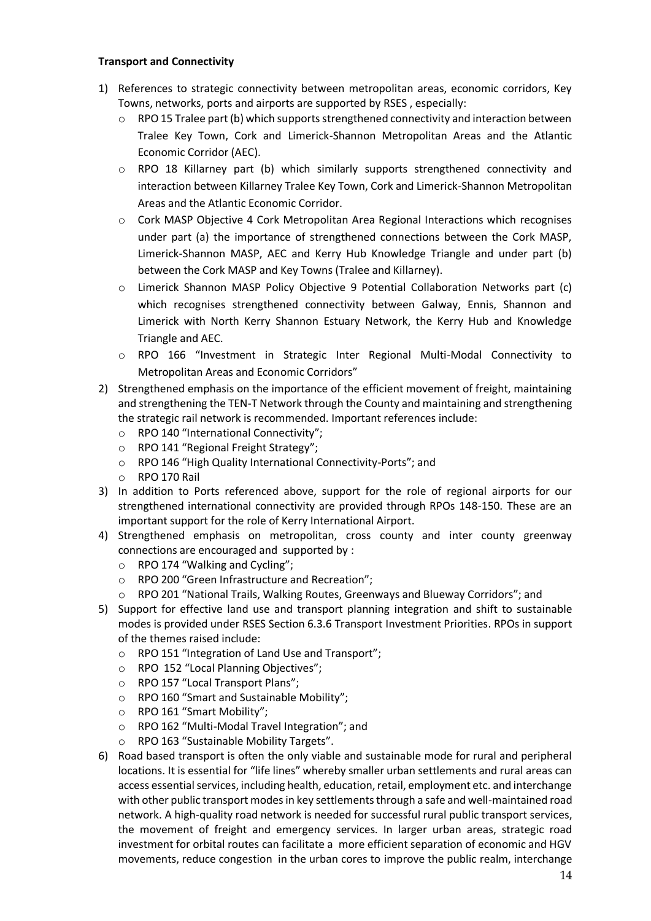#### **Transport and Connectivity**

- 1) References to strategic connectivity between metropolitan areas, economic corridors, Key Towns, networks, ports and airports are supported by RSES , especially:
	- $\circ$  RPO 15 Tralee part (b) which supports strengthened connectivity and interaction between Tralee Key Town, Cork and Limerick-Shannon Metropolitan Areas and the Atlantic Economic Corridor (AEC).
	- $\circ$  RPO 18 Killarney part (b) which similarly supports strengthened connectivity and interaction between Killarney Tralee Key Town, Cork and Limerick-Shannon Metropolitan Areas and the Atlantic Economic Corridor.
	- o Cork MASP Objective 4 Cork Metropolitan Area Regional Interactions which recognises under part (a) the importance of strengthened connections between the Cork MASP, Limerick-Shannon MASP, AEC and Kerry Hub Knowledge Triangle and under part (b) between the Cork MASP and Key Towns (Tralee and Killarney).
	- o Limerick Shannon MASP Policy Objective 9 Potential Collaboration Networks part (c) which recognises strengthened connectivity between Galway, Ennis, Shannon and Limerick with North Kerry Shannon Estuary Network, the Kerry Hub and Knowledge Triangle and AEC.
	- o RPO 166 "Investment in Strategic Inter Regional Multi-Modal Connectivity to Metropolitan Areas and Economic Corridors"
- 2) Strengthened emphasis on the importance of the efficient movement of freight, maintaining and strengthening the TEN-T Network through the County and maintaining and strengthening the strategic rail network is recommended. Important references include:
	- o RPO 140 "International Connectivity";
	- o RPO 141 "Regional Freight Strategy";
	- o RPO 146 "High Quality International Connectivity-Ports"; and
	- o RPO 170 Rail
- 3) In addition to Ports referenced above, support for the role of regional airports for our strengthened international connectivity are provided through RPOs 148-150. These are an important support for the role of Kerry International Airport.
- 4) Strengthened emphasis on metropolitan, cross county and inter county greenway connections are encouraged and supported by :
	- o RPO 174 "Walking and Cycling";
	- o RPO 200 "Green Infrastructure and Recreation";
	- o RPO 201 "National Trails, Walking Routes, Greenways and Blueway Corridors"; and
- 5) Support for effective land use and transport planning integration and shift to sustainable modes is provided under RSES Section 6.3.6 Transport Investment Priorities. RPOs in support of the themes raised include:
	- o RPO 151 "Integration of Land Use and Transport";
	- o RPO 152 "Local Planning Objectives";
	- o RPO 157 "Local Transport Plans";
	- o RPO 160 "Smart and Sustainable Mobility";
	- o RPO 161 "Smart Mobility";
	- o RPO 162 "Multi-Modal Travel Integration"; and
	- o RPO 163 "Sustainable Mobility Targets".
- 6) Road based transport is often the only viable and sustainable mode for rural and peripheral locations. It is essential for "life lines" whereby smaller urban settlements and rural areas can access essential services, including health, education, retail, employment etc. and interchange with other public transport modes in key settlements through a safe and well-maintained road network. A high-quality road network is needed for successful rural public transport services, the movement of freight and emergency services. In larger urban areas, strategic road investment for orbital routes can facilitate a more efficient separation of economic and HGV movements, reduce congestion in the urban cores to improve the public realm, interchange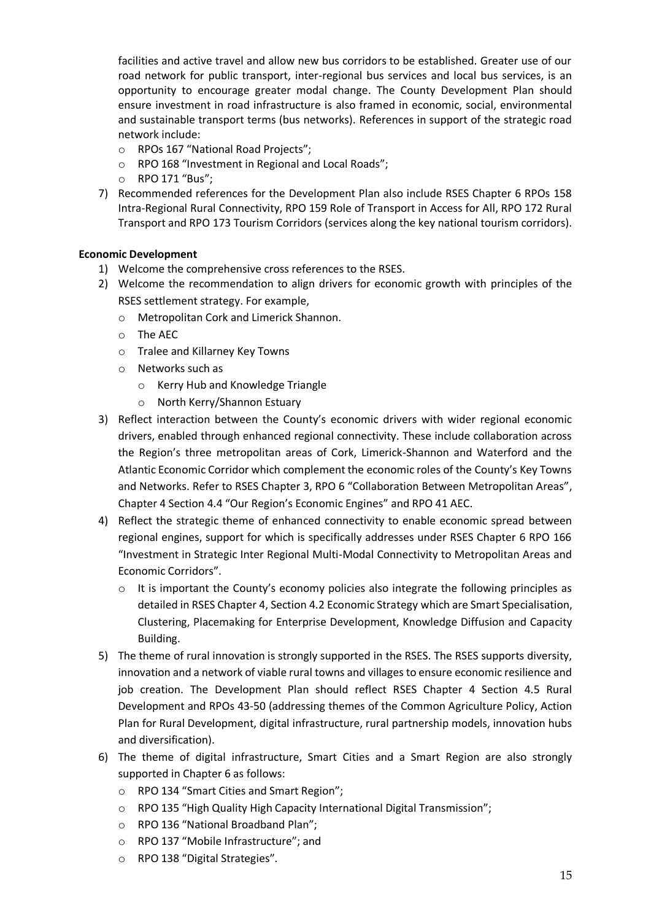facilities and active travel and allow new bus corridors to be established. Greater use of our road network for public transport, inter-regional bus services and local bus services, is an opportunity to encourage greater modal change. The County Development Plan should ensure investment in road infrastructure is also framed in economic, social, environmental and sustainable transport terms (bus networks). References in support of the strategic road network include:

- o RPOs 167 "National Road Projects";
- o RPO 168 "Investment in Regional and Local Roads";
- o RPO 171 "Bus";
- 7) Recommended references for the Development Plan also include RSES Chapter 6 RPOs 158 Intra-Regional Rural Connectivity, RPO 159 Role of Transport in Access for All, RPO 172 Rural Transport and RPO 173 Tourism Corridors (services along the key national tourism corridors).

#### **Economic Development**

- 1) Welcome the comprehensive cross references to the RSES.
- 2) Welcome the recommendation to align drivers for economic growth with principles of the RSES settlement strategy. For example,
	- o Metropolitan Cork and Limerick Shannon.
	- o The AEC
	- o Tralee and Killarney Key Towns
	- o Networks such as
		- o Kerry Hub and Knowledge Triangle
		- o North Kerry/Shannon Estuary
- 3) Reflect interaction between the County's economic drivers with wider regional economic drivers, enabled through enhanced regional connectivity. These include collaboration across the Region's three metropolitan areas of Cork, Limerick-Shannon and Waterford and the Atlantic Economic Corridor which complement the economic roles of the County's Key Towns and Networks. Refer to RSES Chapter 3, RPO 6 "Collaboration Between Metropolitan Areas", Chapter 4 Section 4.4 "Our Region's Economic Engines" and RPO 41 AEC.
- 4) Reflect the strategic theme of enhanced connectivity to enable economic spread between regional engines, support for which is specifically addresses under RSES Chapter 6 RPO 166 "Investment in Strategic Inter Regional Multi-Modal Connectivity to Metropolitan Areas and Economic Corridors".
	- $\circ$  It is important the County's economy policies also integrate the following principles as detailed in RSES Chapter 4, Section 4.2 Economic Strategy which are Smart Specialisation, Clustering, Placemaking for Enterprise Development, Knowledge Diffusion and Capacity Building.
- 5) The theme of rural innovation is strongly supported in the RSES. The RSES supports diversity, innovation and a network of viable rural towns and villages to ensure economic resilience and job creation. The Development Plan should reflect RSES Chapter 4 Section 4.5 Rural Development and RPOs 43-50 (addressing themes of the Common Agriculture Policy, Action Plan for Rural Development, digital infrastructure, rural partnership models, innovation hubs and diversification).
- 6) The theme of digital infrastructure, Smart Cities and a Smart Region are also strongly supported in Chapter 6 as follows:
	- o RPO 134 "Smart Cities and Smart Region";
	- o RPO 135 "High Quality High Capacity International Digital Transmission";
	- o RPO 136 "National Broadband Plan";
	- o RPO 137 "Mobile Infrastructure"; and
	- o RPO 138 "Digital Strategies".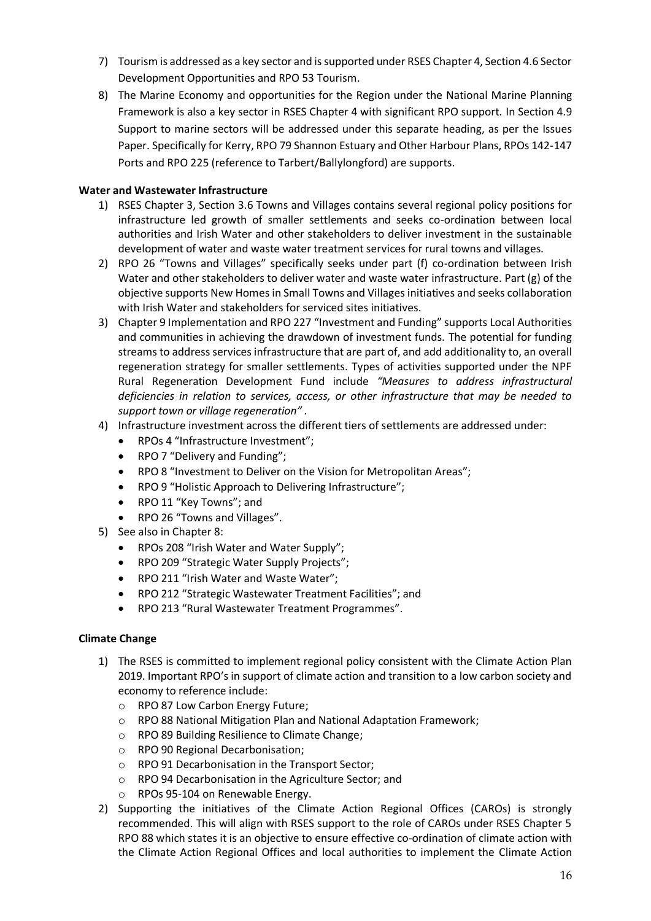- 7) Tourism is addressed as a key sector and is supported under RSES Chapter 4, Section 4.6 Sector Development Opportunities and RPO 53 Tourism.
- 8) The Marine Economy and opportunities for the Region under the National Marine Planning Framework is also a key sector in RSES Chapter 4 with significant RPO support. In Section 4.9 Support to marine sectors will be addressed under this separate heading, as per the Issues Paper. Specifically for Kerry, RPO 79 Shannon Estuary and Other Harbour Plans, RPOs 142-147 Ports and RPO 225 (reference to Tarbert/Ballylongford) are supports.

### **Water and Wastewater Infrastructure**

- 1) RSES Chapter 3, Section 3.6 Towns and Villages contains several regional policy positions for infrastructure led growth of smaller settlements and seeks co-ordination between local authorities and Irish Water and other stakeholders to deliver investment in the sustainable development of water and waste water treatment services for rural towns and villages.
- 2) RPO 26 "Towns and Villages" specifically seeks under part (f) co-ordination between Irish Water and other stakeholders to deliver water and waste water infrastructure. Part (g) of the objective supports New Homes in Small Towns and Villages initiatives and seeks collaboration with Irish Water and stakeholders for serviced sites initiatives.
- 3) Chapter 9 Implementation and RPO 227 "Investment and Funding" supports Local Authorities and communities in achieving the drawdown of investment funds. The potential for funding streams to address services infrastructure that are part of, and add additionality to, an overall regeneration strategy for smaller settlements. Types of activities supported under the NPF Rural Regeneration Development Fund include *"Measures to address infrastructural deficiencies in relation to services, access, or other infrastructure that may be needed to support town or village regeneration" .*
- 4) Infrastructure investment across the different tiers of settlements are addressed under:
	- RPOs 4 "Infrastructure Investment";
	- RPO 7 "Delivery and Funding";
	- RPO 8 "Investment to Deliver on the Vision for Metropolitan Areas";
	- RPO 9 "Holistic Approach to Delivering Infrastructure";
	- RPO 11 "Key Towns"; and
	- RPO 26 "Towns and Villages".
- 5) See also in Chapter 8:
	- RPOs 208 "Irish Water and Water Supply";
	- RPO 209 "Strategic Water Supply Projects";
	- RPO 211 "Irish Water and Waste Water";
	- RPO 212 "Strategic Wastewater Treatment Facilities"; and
	- RPO 213 "Rural Wastewater Treatment Programmes".

#### **Climate Change**

- 1) The RSES is committed to implement regional policy consistent with the Climate Action Plan 2019. Important RPO's in support of climate action and transition to a low carbon society and economy to reference include:
	- o RPO 87 Low Carbon Energy Future;
	- o RPO 88 National Mitigation Plan and National Adaptation Framework;
	- o RPO 89 Building Resilience to Climate Change;
	- o RPO 90 Regional Decarbonisation;
	- o RPO 91 Decarbonisation in the Transport Sector;
	- o RPO 94 Decarbonisation in the Agriculture Sector; and
	- o RPOs 95-104 on Renewable Energy.
- 2) Supporting the initiatives of the Climate Action Regional Offices (CAROs) is strongly recommended. This will align with RSES support to the role of CAROs under RSES Chapter 5 RPO 88 which states it is an objective to ensure effective co-ordination of climate action with the Climate Action Regional Offices and local authorities to implement the Climate Action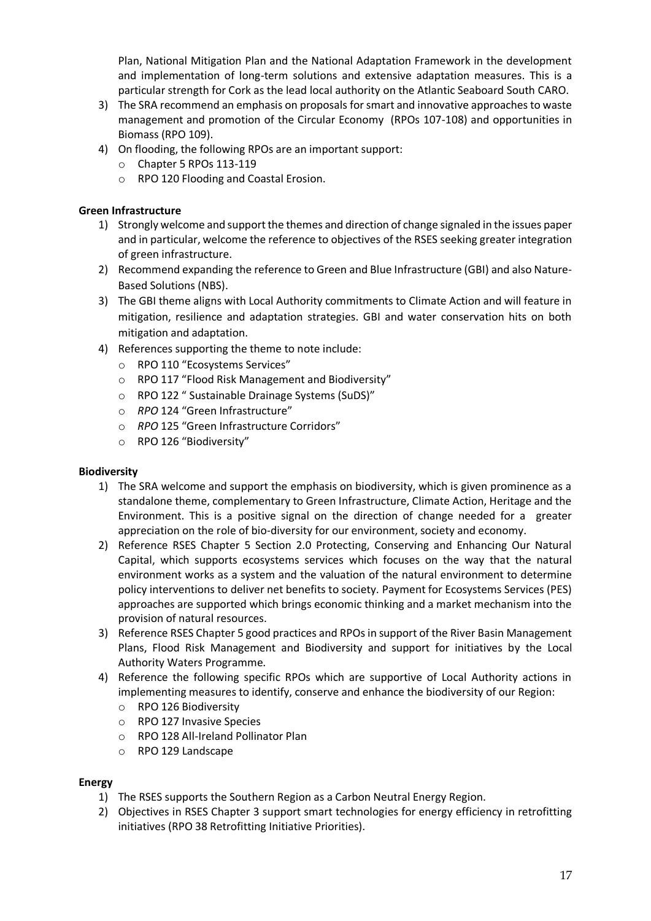Plan, National Mitigation Plan and the National Adaptation Framework in the development and implementation of long-term solutions and extensive adaptation measures. This is a particular strength for Cork as the lead local authority on the Atlantic Seaboard South CARO.

- 3) The SRA recommend an emphasis on proposals for smart and innovative approaches to waste management and promotion of the Circular Economy (RPOs 107-108) and opportunities in Biomass (RPO 109).
- 4) On flooding, the following RPOs are an important support:
	- o Chapter 5 RPOs 113-119
	- o RPO 120 Flooding and Coastal Erosion.

## **Green Infrastructure**

- 1) Strongly welcome and support the themes and direction of change signaled in the issues paper and in particular, welcome the reference to objectives of the RSES seeking greater integration of green infrastructure.
- 2) Recommend expanding the reference to Green and Blue Infrastructure (GBI) and also Nature-Based Solutions (NBS).
- 3) The GBI theme aligns with Local Authority commitments to Climate Action and will feature in mitigation, resilience and adaptation strategies. GBI and water conservation hits on both mitigation and adaptation.
- 4) References supporting the theme to note include:
	- o RPO 110 "Ecosystems Services"
	- o RPO 117 "Flood Risk Management and Biodiversity"
	- o RPO 122 " Sustainable Drainage Systems (SuDS)"
	- o *RPO* 124 "Green Infrastructure"
	- o *RPO* 125 "Green Infrastructure Corridors"
	- o RPO 126 "Biodiversity"

## **Biodiversity**

- 1) The SRA welcome and support the emphasis on biodiversity, which is given prominence as a standalone theme, complementary to Green Infrastructure, Climate Action, Heritage and the Environment. This is a positive signal on the direction of change needed for a greater appreciation on the role of bio-diversity for our environment, society and economy.
- 2) Reference RSES Chapter 5 Section 2.0 Protecting, Conserving and Enhancing Our Natural Capital, which supports ecosystems services which focuses on the way that the natural environment works as a system and the valuation of the natural environment to determine policy interventions to deliver net benefits to society. Payment for Ecosystems Services (PES) approaches are supported which brings economic thinking and a market mechanism into the provision of natural resources.
- 3) Reference RSES Chapter 5 good practices and RPOs in support of the River Basin Management Plans, Flood Risk Management and Biodiversity and support for initiatives by the Local Authority Waters Programme.
- 4) Reference the following specific RPOs which are supportive of Local Authority actions in implementing measures to identify, conserve and enhance the biodiversity of our Region:
	- o RPO 126 Biodiversity
	- o RPO 127 Invasive Species
	- o RPO 128 All-Ireland Pollinator Plan
	- o RPO 129 Landscape

## **Energy**

- 1) The RSES supports the Southern Region as a Carbon Neutral Energy Region.
- 2) Objectives in RSES Chapter 3 support smart technologies for energy efficiency in retrofitting initiatives (RPO 38 Retrofitting Initiative Priorities).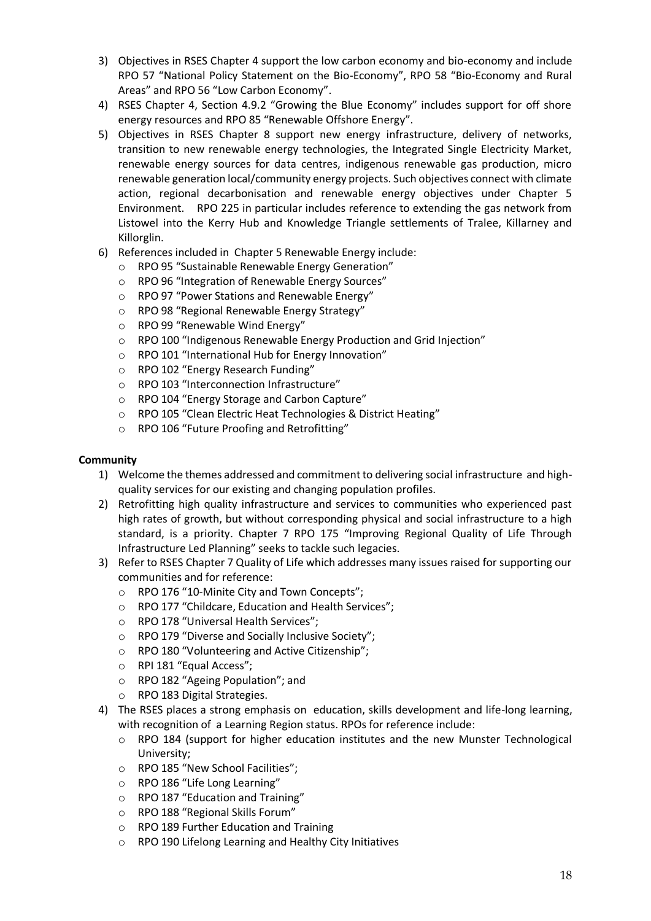- 3) Objectives in RSES Chapter 4 support the low carbon economy and bio-economy and include RPO 57 "National Policy Statement on the Bio-Economy", RPO 58 "Bio-Economy and Rural Areas" and RPO 56 "Low Carbon Economy".
- 4) RSES Chapter 4, Section 4.9.2 "Growing the Blue Economy" includes support for off shore energy resources and RPO 85 "Renewable Offshore Energy".
- 5) Objectives in RSES Chapter 8 support new energy infrastructure, delivery of networks, transition to new renewable energy technologies, the Integrated Single Electricity Market, renewable energy sources for data centres, indigenous renewable gas production, micro renewable generation local/community energy projects. Such objectives connect with climate action, regional decarbonisation and renewable energy objectives under Chapter 5 Environment. RPO 225 in particular includes reference to extending the gas network from Listowel into the Kerry Hub and Knowledge Triangle settlements of Tralee, Killarney and Killorglin.
- 6) References included in Chapter 5 Renewable Energy include:
	- o RPO 95 "Sustainable Renewable Energy Generation"
	- o RPO 96 "Integration of Renewable Energy Sources"
	- o RPO 97 "Power Stations and Renewable Energy"
	- o RPO 98 "Regional Renewable Energy Strategy"
	- o RPO 99 "Renewable Wind Energy"
	- o RPO 100 "Indigenous Renewable Energy Production and Grid Injection"
	- o RPO 101 "International Hub for Energy Innovation"
	- o RPO 102 "Energy Research Funding"
	- o RPO 103 "Interconnection Infrastructure"
	- o RPO 104 "Energy Storage and Carbon Capture"
	- o RPO 105 "Clean Electric Heat Technologies & District Heating"
	- o RPO 106 "Future Proofing and Retrofitting"

## **Community**

- 1) Welcome the themes addressed and commitment to delivering social infrastructure and highquality services for our existing and changing population profiles.
- 2) Retrofitting high quality infrastructure and services to communities who experienced past high rates of growth, but without corresponding physical and social infrastructure to a high standard, is a priority. Chapter 7 RPO 175 "Improving Regional Quality of Life Through Infrastructure Led Planning" seeks to tackle such legacies.
- 3) Refer to RSES Chapter 7 Quality of Life which addresses many issues raised for supporting our communities and for reference:
	- o RPO 176 "10-Minite City and Town Concepts";
	- o RPO 177 "Childcare, Education and Health Services";
	- o RPO 178 "Universal Health Services";
	- o RPO 179 "Diverse and Socially Inclusive Society";
	- o RPO 180 "Volunteering and Active Citizenship";
	- o RPI 181 "Equal Access";
	- o RPO 182 "Ageing Population"; and
	- o RPO 183 Digital Strategies.
- 4) The RSES places a strong emphasis on education, skills development and life-long learning, with recognition of a Learning Region status. RPOs for reference include:
	- o RPO 184 (support for higher education institutes and the new Munster Technological University;
	- o RPO 185 "New School Facilities";
	- o RPO 186 "Life Long Learning"
	- o RPO 187 "Education and Training"
	- o RPO 188 "Regional Skills Forum"
	- o RPO 189 Further Education and Training
	- o RPO 190 Lifelong Learning and Healthy City Initiatives